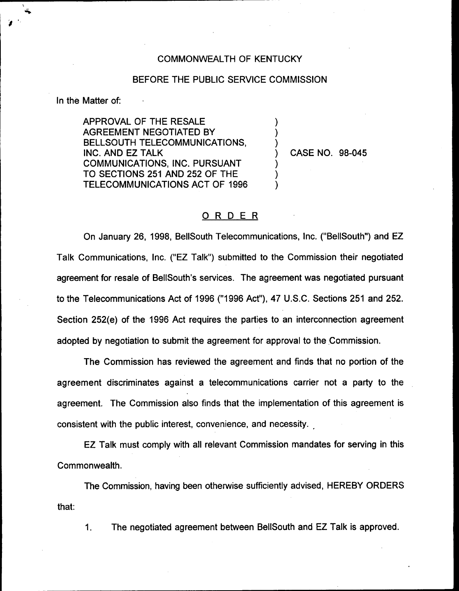## COMMONWEALTH OF KENTUCKY

## BEFORE THE PUBLIC SERVICE COMMISSION

) ) )

) ) )

In the Matter of:

APPROVAL OF THE RESALE AGREEMENT NEGOTIATED BY BELLSOUTH TELECOMMUNICATIONS, INC. AND EZ TALK COMMUNICATIONS, INC. PURSUANT TO SECTIONS 251 AND 252 OF THE TELECOMMUNICATIONS ACT OF 1996

) CASE NO. 98-045

## ORDER

On January 26, 1998, BellSouth Telecommunications, Inc. ("BellSouth") and EZ Talk Communications, Inc. ("EZ Talk") submitted to the Commission their negotiated agreement for resale of BellSouth's services. The agreement was negotiated pursuant to the Telecommunications Act of 1996 ("1996 Act"), 47 U.S.C. Sections 251 and 252. Section 252(e) of the 1996 Act requires the parties to an interconnection agreement adopted by negotiation to submit the agreement for approval to the Commission.

The Commission has reviewed the agreement and finds that no portion of the agreement discriminates against a telecommunications carrier not a party to the agreement. The Commission also finds that the implementation of this agreement is consistent with the public interest, convenience, and necessity.

EZ Talk must comply with all relevant Commission mandates for serving in this Commonwealth.

The Commission, having been otherwise sufficiently advised, HEREBY ORDERS that:

1. The negotiated agreement between BellSouth and EZ Talk is approved.